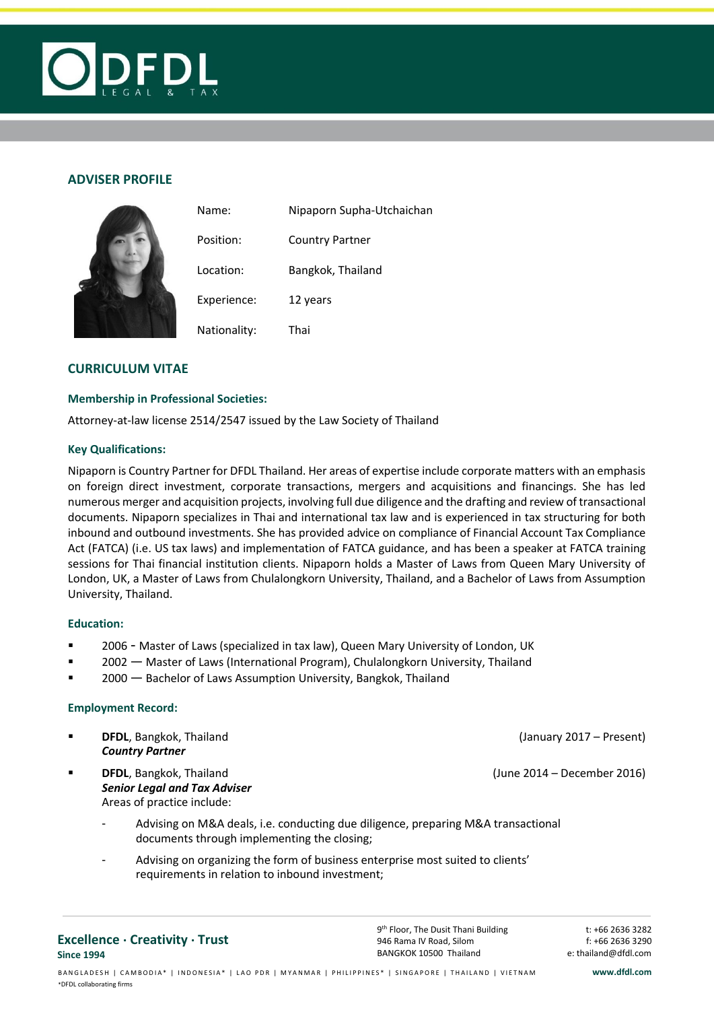

# **ADVISER PROFILE**

|  | Name:        | Nipaporn Supha-Utchaichan |  |  |
|--|--------------|---------------------------|--|--|
|  | Position:    | <b>Country Partner</b>    |  |  |
|  | Location:    | Bangkok, Thailand         |  |  |
|  | Experience:  | 12 years                  |  |  |
|  | Nationality: | Thai                      |  |  |

# **CURRICULUM VITAE**

## **Membership in Professional Societies:**

Attorney-at-law license 2514/2547 issued by the Law Society of Thailand

## **Key Qualifications:**

Nipaporn is Country Partner for DFDL Thailand. Her areas of expertise include corporate matters with an emphasis on foreign direct investment, corporate transactions, mergers and acquisitions and financings. She has led numerous merger and acquisition projects, involving full due diligence and the drafting and review of transactional documents. Nipaporn specializes in Thai and international tax law and is experienced in tax structuring for both inbound and outbound investments. She has provided advice on compliance of Financial Account Tax Compliance Act (FATCA) (i.e. US tax laws) and implementation of FATCA guidance, and has been a speaker at FATCA training sessions for Thai financial institution clients. Nipaporn holds a Master of Laws from Queen Mary University of London, UK, a Master of Laws from Chulalongkorn University, Thailand, and a Bachelor of Laws from Assumption University, Thailand.

## **Education:**

- 2006 Master of Laws (specialized in tax law), Queen Mary University of London, UK
- **2002** Master of Laws (International Program), Chulalongkorn University, Thailand
- **2000** Bachelor of Laws Assumption University, Bangkok, Thailand

## **Employment Record:**

- **DFDL**, Bangkok, Thailand **Communist Communist Communist Communist Communist Communist Communist Communist Communist Communist Communist Communist Communist Communist Communist Communist Communist Communist Communist Commu** *Country Partner* **DFDL**, Bangkok, Thailand **Communist Communist Communist Communist Communist Communist Communist Communist Communist Communist Communist Communist Communist Communist Communist Communist Communist Communist Communist Commu** *Senior Legal and Tax Adviser* Areas of practice include: - Advising on M&A deals, i.e. conducting due diligence, preparing M&A transactional documents through implementing the closing; Advising on organizing the form of business enterprise most suited to clients'
	- requirements in relation to inbound investment;

**Excellence . Creativity . Trust Since 1994**

t: +66 2636 3282 f: +66 2636 3290 e: thailand@dfdl.com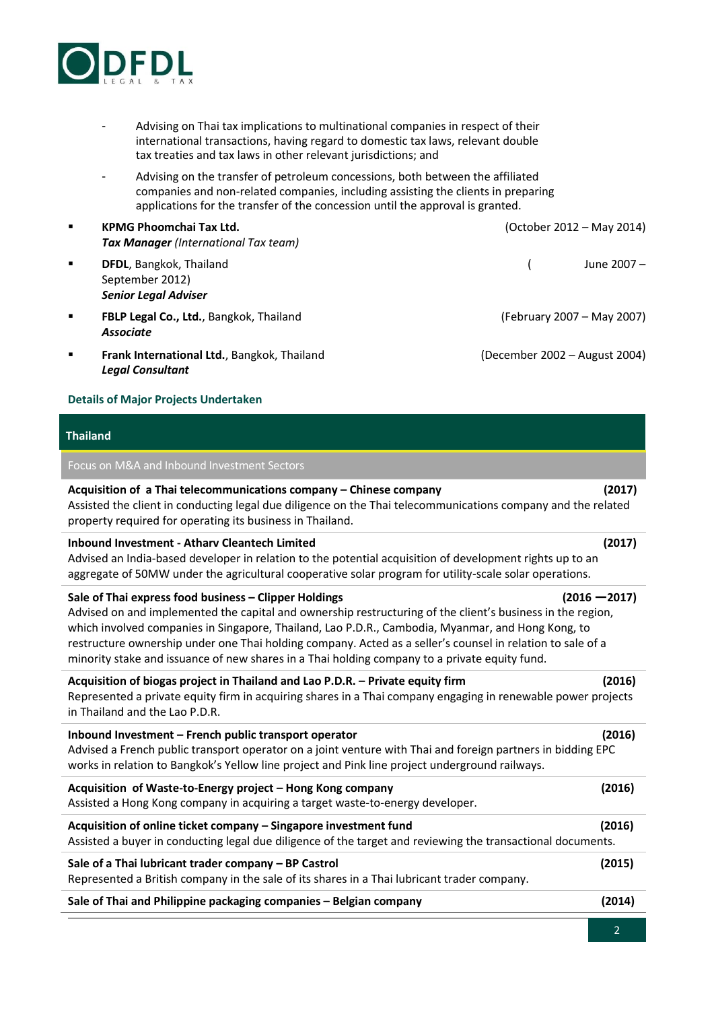

- Advising on Thai tax implications to multinational companies in respect of their international transactions, having regard to domestic tax laws, relevant double tax treaties and tax laws in other relevant jurisdictions; and
- Advising on the transfer of petroleum concessions, both between the affiliated companies and non-related companies, including assisting the clients in preparing applications for the transfer of the concession until the approval is granted.
- **KPMG Phoomchai Tax Ltd.** (October 2012 May 2014) *Tax Manager (International Tax team)*
- **DFDL**, Bangkok, Thailand **Communisties** ( June 2007 September 2012) *Senior Legal Adviser*
- **FBLP Legal Co., Ltd.**, Bangkok, Thailand (February 2007 May 2007) *Associate*
- **Frank International Ltd.**, Bangkok, Thailand (December 2002 August 2004) *Legal Consultant*

# **Details of Major Projects Undertaken**

# **Thailand**

# Focus on M&A and Inbound Investment Sectors

# **Acquisition of a Thai telecommunications company – Chinese company (2017)**

Assisted the client in conducting legal due diligence on the Thai telecommunications company and the related property required for operating its business in Thailand.

## **Inbound Investment - Atharv Cleantech Limited (2017)**

Advised an India-based developer in relation to the potential acquisition of development rights up to an aggregate of 50MW under the agricultural cooperative solar program for utility-scale solar operations.

### **Sale of Thai express food business – Clipper Holdings (2016 —2017)**

Advised on and implemented the capital and ownership restructuring of the client's business in the region, which involved companies in Singapore, Thailand, Lao P.D.R., Cambodia, Myanmar, and Hong Kong, to restructure ownership under one Thai holding company. Acted as a seller's counsel in relation to sale of a minority stake and issuance of new shares in a Thai holding company to a private equity fund.

## **Acquisition of biogas project in Thailand and Lao P.D.R. – Private equity firm (2016)**

Represented a private equity firm in acquiring shares in a Thai company engaging in renewable power projects in Thailand and the Lao P.D.R.

| Inbound Investment – French public transport operator                                                       | (2016) |
|-------------------------------------------------------------------------------------------------------------|--------|
| Advised a French public transport operator on a joint venture with Thai and foreign partners in bidding EPC |        |
| works in relation to Bangkok's Yellow line project and Pink line project underground railways.              |        |

| Acquisition of Waste-to-Energy project - Hong Kong company<br>Assisted a Hong Kong company in acquiring a target waste-to-energy developer.                                     | (2016) |
|---------------------------------------------------------------------------------------------------------------------------------------------------------------------------------|--------|
| Acquisition of online ticket company - Singapore investment fund<br>Assisted a buyer in conducting legal due diligence of the target and reviewing the transactional documents. | (2016) |
| Sale of a Thai lubricant trader company – BP Castrol<br>Represented a British company in the sale of its shares in a Thai lubricant trader company.                             | (2015) |
| Sale of Thai and Philippine packaging companies - Belgian company                                                                                                               | (2014) |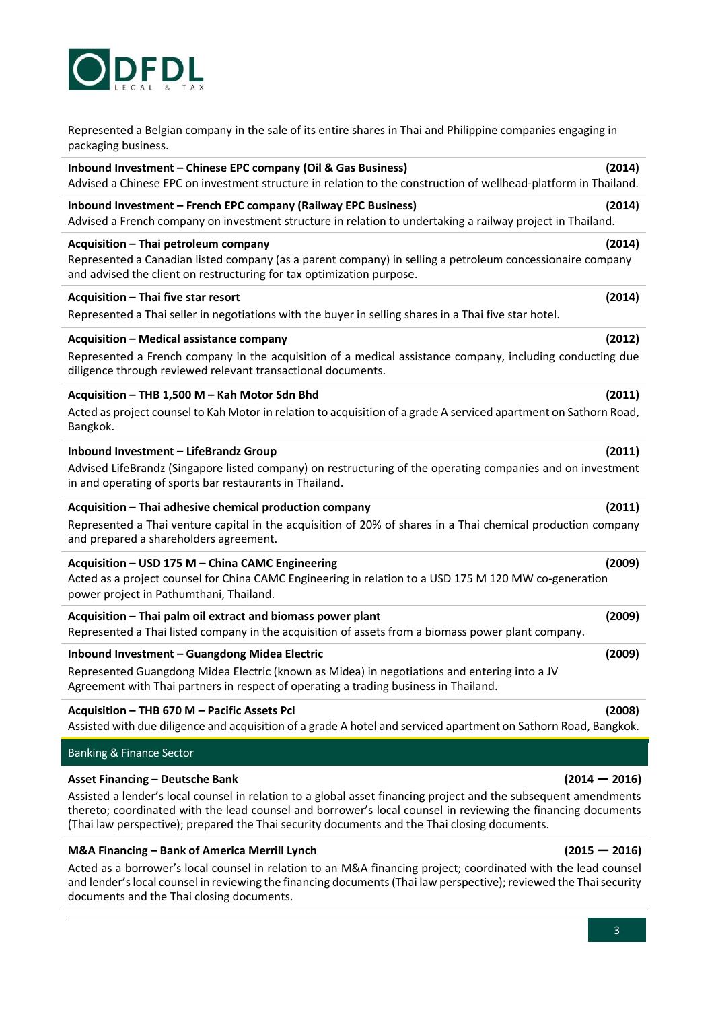

Represented a Belgian company in the sale of its entire shares in Thai and Philippine companies engaging in packaging business.

# **Inbound Investment – Chinese EPC company (Oil & Gas Business) (2014)**  Advised a Chinese EPC on investment structure in relation to the construction of wellhead-platform in Thailand. **Inbound Investment – French EPC company (Railway EPC Business) (2014)** Advised a French company on investment structure in relation to undertaking a railway project in Thailand. **Acquisition – Thai petroleum company (2014)** Represented a Canadian listed company (as a parent company) in selling a petroleum concessionaire company and advised the client on restructuring for tax optimization purpose. **Acquisition – Thai five star resort (2014)** Represented a Thai seller in negotiations with the buyer in selling shares in a Thai five star hotel. **Acquisition – Medical assistance company (2012)** Represented a French company in the acquisition of a medical assistance company, including conducting due diligence through reviewed relevant transactional documents. **Acquisition – THB 1,500 M – Kah Motor Sdn Bhd (2011)** Acted as project counsel to Kah Motor in relation to acquisition of a grade A serviced apartment on Sathorn Road, Bangkok. **Inbound Investment – LifeBrandz Group (2011)** Advised LifeBrandz (Singapore listed company) on restructuring of the operating companies and on investment in and operating of sports bar restaurants in Thailand. **Acquisition – Thai adhesive chemical production company (2011)** Represented a Thai venture capital in the acquisition of 20% of shares in a Thai chemical production company and prepared a shareholders agreement. **Acquisition – USD 175 M – China CAMC Engineering (2009)**  Acted as a project counsel for China CAMC Engineering in relation to a USD 175 M 120 MW co-generation power project in Pathumthani, Thailand. **Acquisition – Thai palm oil extract and biomass power plant (2009)** Represented a Thai listed company in the acquisition of assets from a biomass power plant company. **Inbound Investment – Guangdong Midea Electric (2009)**  Represented Guangdong Midea Electric (known as Midea) in negotiations and entering into a JV Agreement with Thai partners in respect of operating a trading business in Thailand. **Acquisition – THB 670 M – Pacific Assets Pcl (2008)**  Assisted with due diligence and acquisition of a grade A hotel and serviced apartment on Sathorn Road, Bangkok.

# Banking & Finance Sector

# **Asset Financing – Deutsche Bank (2014 — 2016)**

Assisted a lender's local counsel in relation to a global asset financing project and the subsequent amendments thereto; coordinated with the lead counsel and borrower's local counsel in reviewing the financing documents (Thai law perspective); prepared the Thai security documents and the Thai closing documents.

## **M&A Financing – Bank of America Merrill Lynch (2015 — 2016)**

Acted as a borrower's local counsel in relation to an M&A financing project; coordinated with the lead counsel and lender's local counsel in reviewing the financing documents (Thai law perspective); reviewed the Thai security documents and the Thai closing documents.

## $\overline{a}$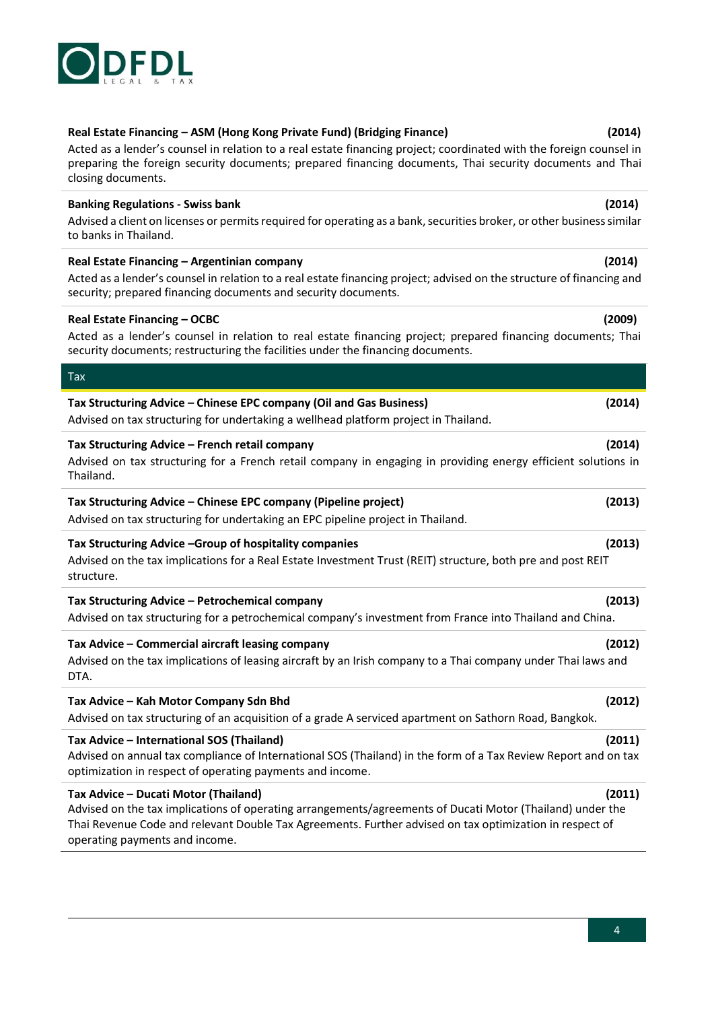# **Real Estate Financing – ASM (Hong Kong Private Fund) (Bridging Finance) (2014)**

Acted as a lender's counsel in relation to a real estate financing project; coordinated with the foreign counsel in preparing the foreign security documents; prepared financing documents, Thai security documents and Thai closing documents.

# **Banking Regulations - Swiss bank (2014)**

Advised a client on licenses or permits required for operating as a bank, securities broker, or other business similar to banks in Thailand.

# **Real Estate Financing – Argentinian company (2014)**

Acted as a lender's counsel in relation to a real estate financing project; advised on the structure of financing and security; prepared financing documents and security documents.

# **Real Estate Financing – OCBC (2009)**

Tax

Acted as a lender's counsel in relation to real estate financing project; prepared financing documents; Thai security documents; restructuring the facilities under the financing documents.

# **Tax Structuring Advice – Chinese EPC company (Oil and Gas Business) (2014)** Advised on tax structuring for undertaking a wellhead platform project in Thailand. **Tax Structuring Advice – French retail company (2014)** Advised on tax structuring for a French retail company in engaging in providing energy efficient solutions in Thailand. **Tax Structuring Advice – Chinese EPC company (Pipeline project) (2013)** Advised on tax structuring for undertaking an EPC pipeline project in Thailand. **Tax Structuring Advice –Group of hospitality companies (2013)** Advised on the tax implications for a Real Estate Investment Trust (REIT) structure, both pre and post REIT

structure.

## **Tax Structuring Advice – Petrochemical company (2013)** Advised on tax structuring for a petrochemical company's investment from France into Thailand and China.

**Tax Advice – Commercial aircraft leasing company (2012)** Advised on the tax implications of leasing aircraft by an Irish company to a Thai company under Thai laws and DTA.

# **Tax Advice – Kah Motor Company Sdn Bhd (2012)** Advised on tax structuring of an acquisition of a grade A serviced apartment on Sathorn Road, Bangkok.

**Tax Advice – International SOS (Thailand) (2011)** Advised on annual tax compliance of International SOS (Thailand) in the form of a Tax Review Report and on tax optimization in respect of operating payments and income.

# **Tax Advice – Ducati Motor (Thailand) (2011)**

Advised on the tax implications of operating arrangements/agreements of Ducati Motor (Thailand) under the Thai Revenue Code and relevant Double Tax Agreements. Further advised on tax optimization in respect of operating payments and income.



- 
-